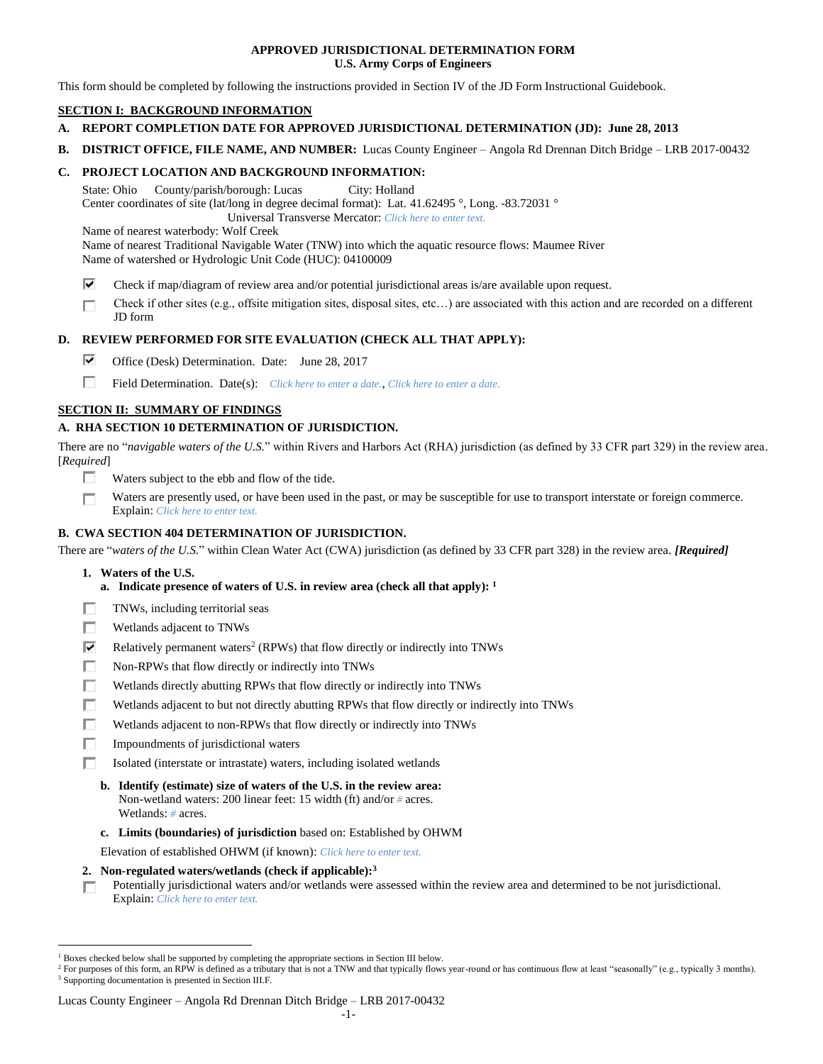### **APPROVED JURISDICTIONAL DETERMINATION FORM U.S. Army Corps of Engineers**

This form should be completed by following the instructions provided in Section IV of the JD Form Instructional Guidebook.

## **SECTION I: BACKGROUND INFORMATION**

- **A. REPORT COMPLETION DATE FOR APPROVED JURISDICTIONAL DETERMINATION (JD): June 28, 2013**
- **B. DISTRICT OFFICE, FILE NAME, AND NUMBER:** Lucas County Engineer Angola Rd Drennan Ditch Bridge LRB 2017-00432

## **C. PROJECT LOCATION AND BACKGROUND INFORMATION:**

State: Ohio County/parish/borough: Lucas City: Holland Center coordinates of site (lat/long in degree decimal format): Lat. 41.62495 °, Long. -83.72031 °

Universal Transverse Mercator: *Click here to enter text.*

Name of nearest waterbody: Wolf Creek

Name of nearest Traditional Navigable Water (TNW) into which the aquatic resource flows: Maumee River Name of watershed or Hydrologic Unit Code (HUC): 04100009

- ⊽ Check if map/diagram of review area and/or potential jurisdictional areas is/are available upon request.
- Check if other sites (e.g., offsite mitigation sites, disposal sites, etc…) are associated with this action and are recorded on a different п JD form

## **D. REVIEW PERFORMED FOR SITE EVALUATION (CHECK ALL THAT APPLY):**

- ⊽. Office (Desk) Determination. Date: June 28, 2017
- п Field Determination. Date(s): *Click here to enter a date.*, *Click here to enter a date.*

## **SECTION II: SUMMARY OF FINDINGS**

## **A. RHA SECTION 10 DETERMINATION OF JURISDICTION.**

There are no "*navigable waters of the U.S.*" within Rivers and Harbors Act (RHA) jurisdiction (as defined by 33 CFR part 329) in the review area. [*Required*]

- п Waters subject to the ebb and flow of the tide.
- Waters are presently used, or have been used in the past, or may be susceptible for use to transport interstate or foreign commerce. П Explain: *Click here to enter text.*

## **B. CWA SECTION 404 DETERMINATION OF JURISDICTION.**

There are "*waters of the U.S.*" within Clean Water Act (CWA) jurisdiction (as defined by 33 CFR part 328) in the review area. *[Required]*

**1. Waters of the U.S.**

 $\overline{a}$ 

- **a. Indicate presence of waters of U.S. in review area (check all that apply): 1**
- п TNWs, including territorial seas
- П Wetlands adjacent to TNWs
- ⊽ Relatively permanent waters<sup>2</sup> (RPWs) that flow directly or indirectly into TNWs
- п Non-RPWs that flow directly or indirectly into TNWs
- П Wetlands directly abutting RPWs that flow directly or indirectly into TNWs
- п Wetlands adjacent to but not directly abutting RPWs that flow directly or indirectly into TNWs
- Wetlands adjacent to non-RPWs that flow directly or indirectly into TNWs п
- п Impoundments of jurisdictional waters
- П. Isolated (interstate or intrastate) waters, including isolated wetlands
	- **b. Identify (estimate) size of waters of the U.S. in the review area:** Non-wetland waters: 200 linear feet: 15 width (ft) and/or *#* acres. Wetlands: *#* acres.
	- **c. Limits (boundaries) of jurisdiction** based on: Established by OHWM

Elevation of established OHWM (if known): *Click here to enter text.*

- **2. Non-regulated waters/wetlands (check if applicable): 3**
- Potentially jurisdictional waters and/or wetlands were assessed within the review area and determined to be not jurisdictional. п. Explain: *Click here to enter text.*

<sup>1</sup> Boxes checked below shall be supported by completing the appropriate sections in Section III below.

<sup>&</sup>lt;sup>2</sup> For purposes of this form, an RPW is defined as a tributary that is not a TNW and that typically flows year-round or has continuous flow at least "seasonally" (e.g., typically 3 months). <sup>3</sup> Supporting documentation is presented in Section III.F.

Lucas County Engineer – Angola Rd Drennan Ditch Bridge – LRB 2017-00432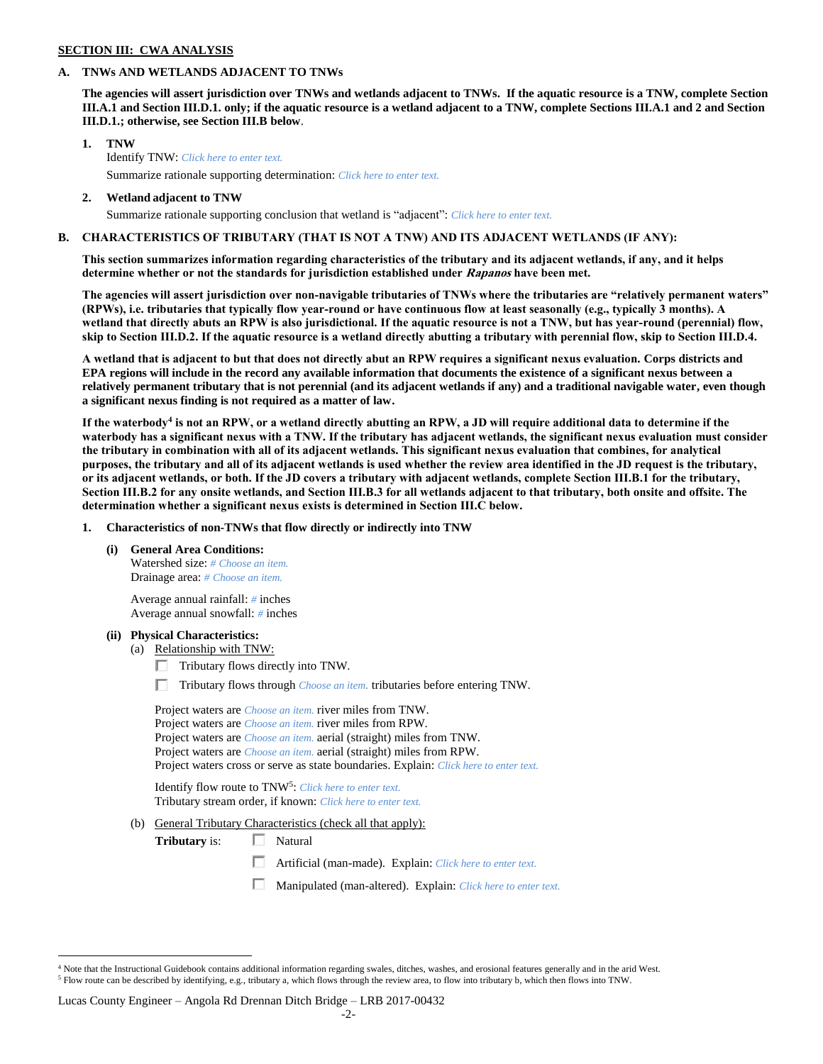#### **SECTION III: CWA ANALYSIS**

#### **A. TNWs AND WETLANDS ADJACENT TO TNWs**

**The agencies will assert jurisdiction over TNWs and wetlands adjacent to TNWs. If the aquatic resource is a TNW, complete Section III.A.1 and Section III.D.1. only; if the aquatic resource is a wetland adjacent to a TNW, complete Sections III.A.1 and 2 and Section III.D.1.; otherwise, see Section III.B below**.

- **1. TNW**  Identify TNW: *Click here to enter text.* Summarize rationale supporting determination: *Click here to enter text.*
- **2. Wetland adjacent to TNW** Summarize rationale supporting conclusion that wetland is "adjacent": *Click here to enter text.*

## **B. CHARACTERISTICS OF TRIBUTARY (THAT IS NOT A TNW) AND ITS ADJACENT WETLANDS (IF ANY):**

**This section summarizes information regarding characteristics of the tributary and its adjacent wetlands, if any, and it helps determine whether or not the standards for jurisdiction established under Rapanos have been met.** 

**The agencies will assert jurisdiction over non-navigable tributaries of TNWs where the tributaries are "relatively permanent waters" (RPWs), i.e. tributaries that typically flow year-round or have continuous flow at least seasonally (e.g., typically 3 months). A wetland that directly abuts an RPW is also jurisdictional. If the aquatic resource is not a TNW, but has year-round (perennial) flow, skip to Section III.D.2. If the aquatic resource is a wetland directly abutting a tributary with perennial flow, skip to Section III.D.4.**

**A wetland that is adjacent to but that does not directly abut an RPW requires a significant nexus evaluation. Corps districts and EPA regions will include in the record any available information that documents the existence of a significant nexus between a relatively permanent tributary that is not perennial (and its adjacent wetlands if any) and a traditional navigable water, even though a significant nexus finding is not required as a matter of law.**

**If the waterbody<sup>4</sup> is not an RPW, or a wetland directly abutting an RPW, a JD will require additional data to determine if the waterbody has a significant nexus with a TNW. If the tributary has adjacent wetlands, the significant nexus evaluation must consider the tributary in combination with all of its adjacent wetlands. This significant nexus evaluation that combines, for analytical purposes, the tributary and all of its adjacent wetlands is used whether the review area identified in the JD request is the tributary, or its adjacent wetlands, or both. If the JD covers a tributary with adjacent wetlands, complete Section III.B.1 for the tributary, Section III.B.2 for any onsite wetlands, and Section III.B.3 for all wetlands adjacent to that tributary, both onsite and offsite. The determination whether a significant nexus exists is determined in Section III.C below.**

**1. Characteristics of non-TNWs that flow directly or indirectly into TNW**

**(i) General Area Conditions:**

Watershed size: *# Choose an item.* Drainage area: *# Choose an item.*

Average annual rainfall: *#* inches Average annual snowfall: *#* inches

#### **(ii) Physical Characteristics:**

 $\overline{a}$ 

- (a) Relationship with TNW:
	- $\Box$  Tributary flows directly into TNW.
	- Tributary flows through *Choose an item.* tributaries before entering TNW.

| Project waters are <i>Choose an item.</i> river miles from TNW.                       |  |
|---------------------------------------------------------------------------------------|--|
| Project waters are <i>Choose an item</i> , river miles from RPW.                      |  |
| Project waters are <i>Choose an item.</i> aerial (straight) miles from TNW.           |  |
| Project waters are <i>Choose an item.</i> aerial (straight) miles from RPW.           |  |
| Project waters cross or serve as state boundaries. Explain: Click here to enter text. |  |

Identify flow route to TNW<sup>5</sup>: Click here to enter text. Tributary stream order, if known: *Click here to enter text.*

(b) General Tributary Characteristics (check all that apply):

**Tributary** is: □ Natural

- $\Box$ Artificial (man-made). Explain: *Click here to enter text.*
- П. Manipulated (man-altered). Explain: *Click here to enter text.*

#### Lucas County Engineer – Angola Rd Drennan Ditch Bridge – LRB 2017-00432

 $4$  Note that the Instructional Guidebook contains additional information regarding swales, ditches, washes, and erosional features generally and in the arid West. <sup>5</sup> Flow route can be described by identifying, e.g., tributary a, which flows through the review area, to flow into tributary b, which then flows into TNW.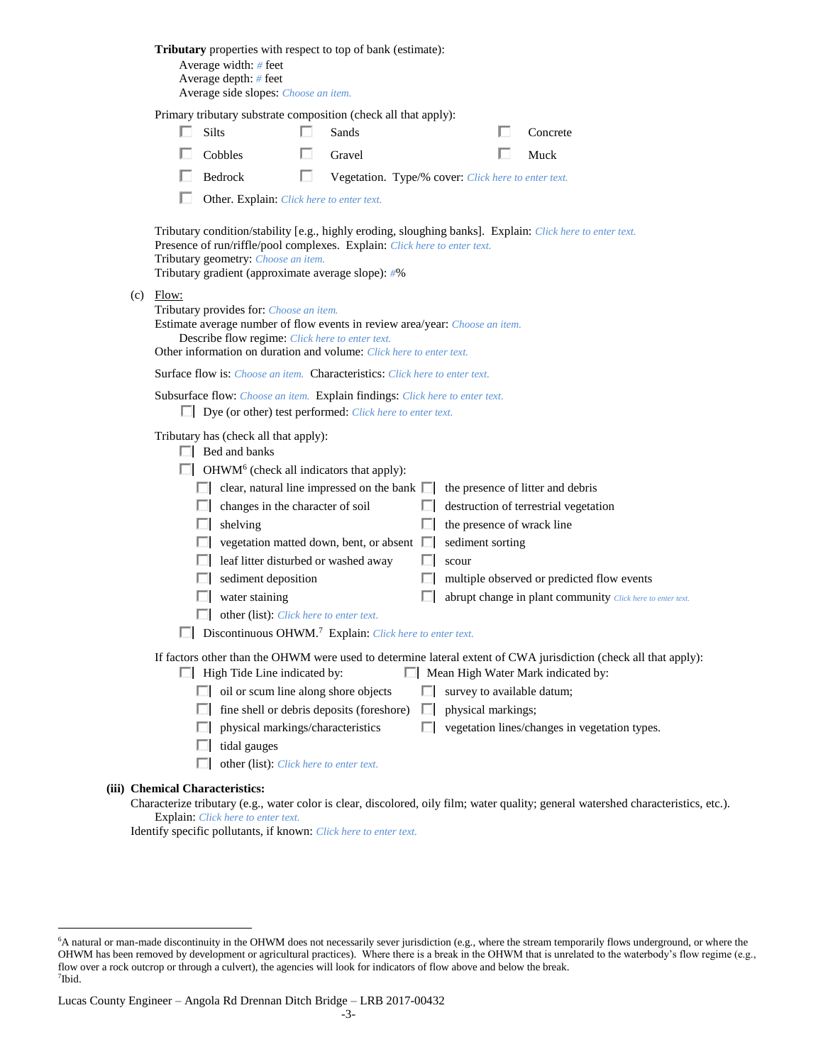|                                                                     | <b>Tributary</b> properties with respect to top of bank (estimate):<br>Average width: # feet<br>Average depth: # feet<br>Average side slopes: Choose an item.                                                                                    |              |                                                     |    |                            |  |                                                                                                                                                        |  |  |
|---------------------------------------------------------------------|--------------------------------------------------------------------------------------------------------------------------------------------------------------------------------------------------------------------------------------------------|--------------|-----------------------------------------------------|----|----------------------------|--|--------------------------------------------------------------------------------------------------------------------------------------------------------|--|--|
| П.                                                                  | Primary tributary substrate composition (check all that apply):<br>Silts                                                                                                                                                                         | n.           | Sands                                               |    |                            |  | Concrete                                                                                                                                               |  |  |
|                                                                     | Cobbles                                                                                                                                                                                                                                          |              | Gravel                                              |    |                            |  | Muck                                                                                                                                                   |  |  |
|                                                                     | $\Box$ Bedrock                                                                                                                                                                                                                                   | $\mathbf{L}$ | Vegetation. Type/% cover: Click here to enter text. |    |                            |  |                                                                                                                                                        |  |  |
|                                                                     | Other. Explain: Click here to enter text.                                                                                                                                                                                                        |              |                                                     |    |                            |  |                                                                                                                                                        |  |  |
|                                                                     | Presence of run/riffle/pool complexes. Explain: Click here to enter text.<br>Tributary geometry: Choose an item.<br>Tributary gradient (approximate average slope): #%                                                                           |              |                                                     |    |                            |  | Tributary condition/stability [e.g., highly eroding, sloughing banks]. Explain: Click here to enter text.                                              |  |  |
| $(c)$ Flow:                                                         | Tributary provides for: Choose an item.<br>Estimate average number of flow events in review area/year: Choose an item.<br>Describe flow regime: Click here to enter text.<br>Other information on duration and volume: Click here to enter text. |              |                                                     |    |                            |  |                                                                                                                                                        |  |  |
|                                                                     | <b>Surface flow is:</b> <i>Choose an item.</i> <b>Characteristics:</b> <i>Click here to enter text.</i>                                                                                                                                          |              |                                                     |    |                            |  |                                                                                                                                                        |  |  |
|                                                                     | Subsurface flow: Choose an item. Explain findings: Click here to enter text.<br>$\Box$ Dye (or other) test performed: <i>Click here to enter text.</i>                                                                                           |              |                                                     |    |                            |  |                                                                                                                                                        |  |  |
|                                                                     | Tributary has (check all that apply):<br>$\Box$ Bed and banks                                                                                                                                                                                    |              |                                                     |    |                            |  |                                                                                                                                                        |  |  |
|                                                                     | $\Box$ OHWM <sup>6</sup> (check all indicators that apply):<br>$\Box$ clear, natural line impressed on the bank $\Box$ the presence of litter and debris                                                                                         |              |                                                     |    |                            |  |                                                                                                                                                        |  |  |
|                                                                     | $\Box$ changes in the character of soil                                                                                                                                                                                                          |              |                                                     |    |                            |  | destruction of terrestrial vegetation                                                                                                                  |  |  |
|                                                                     | $\Box$ shelving                                                                                                                                                                                                                                  |              |                                                     | ш  | the presence of wrack line |  |                                                                                                                                                        |  |  |
|                                                                     | $\Box$ vegetation matted down, bent, or absent $\Box$                                                                                                                                                                                            |              |                                                     |    | sediment sorting           |  |                                                                                                                                                        |  |  |
|                                                                     | leaf litter disturbed or washed away                                                                                                                                                                                                             |              |                                                     |    | scour                      |  |                                                                                                                                                        |  |  |
|                                                                     | $\Box$ sediment deposition                                                                                                                                                                                                                       |              |                                                     |    |                            |  | multiple observed or predicted flow events                                                                                                             |  |  |
|                                                                     | $\Box$ water staining                                                                                                                                                                                                                            |              |                                                     |    |                            |  | abrupt change in plant community Click here to enter text.                                                                                             |  |  |
|                                                                     | other (list): <i>Click here to enter text.</i>                                                                                                                                                                                                   |              |                                                     |    |                            |  |                                                                                                                                                        |  |  |
| Discontinuous OHWM. <sup>7</sup> Explain: Click here to enter text. |                                                                                                                                                                                                                                                  |              |                                                     |    |                            |  |                                                                                                                                                        |  |  |
|                                                                     | $\Box$ High Tide Line indicated by:                                                                                                                                                                                                              |              |                                                     |    |                            |  | If factors other than the OHWM were used to determine lateral extent of CWA jurisdiction (check all that apply):<br>Mean High Water Mark indicated by: |  |  |
|                                                                     | $\Box$ oil or scum line along shore objects                                                                                                                                                                                                      |              |                                                     | П  | survey to available datum; |  |                                                                                                                                                        |  |  |
|                                                                     | $\Box$ fine shell or debris deposits (foreshore)                                                                                                                                                                                                 |              |                                                     | ш  | physical markings;         |  |                                                                                                                                                        |  |  |
|                                                                     | physical markings/characteristics<br>ш                                                                                                                                                                                                           |              |                                                     | L. |                            |  | vegetation lines/changes in vegetation types.                                                                                                          |  |  |
|                                                                     | tidal gauges                                                                                                                                                                                                                                     |              |                                                     |    |                            |  |                                                                                                                                                        |  |  |
|                                                                     | other (list): Click here to enter text.                                                                                                                                                                                                          |              |                                                     |    |                            |  |                                                                                                                                                        |  |  |
|                                                                     | <b>Chemical Characteristics:</b>                                                                                                                                                                                                                 |              |                                                     |    |                            |  | Characterize tributary (e.g., water color is clear, discolored, oily film; water quality; general watershed characteristics, etc.                      |  |  |

Characterize tributary (e.g., water color is clear, discolored, oily film; water quality; general watershed characteristics, etc.). Explain: *Click here to enter text.*

Identify specific pollutants, if known: *Click here to enter text.*

**(iii)** 

 $\overline{a}$ 

<sup>6</sup>A natural or man-made discontinuity in the OHWM does not necessarily sever jurisdiction (e.g., where the stream temporarily flows underground, or where the OHWM has been removed by development or agricultural practices). Where there is a break in the OHWM that is unrelated to the waterbody's flow regime (e.g., flow over a rock outcrop or through a culvert), the agencies will look for indicators of flow above and below the break. 7 Ibid.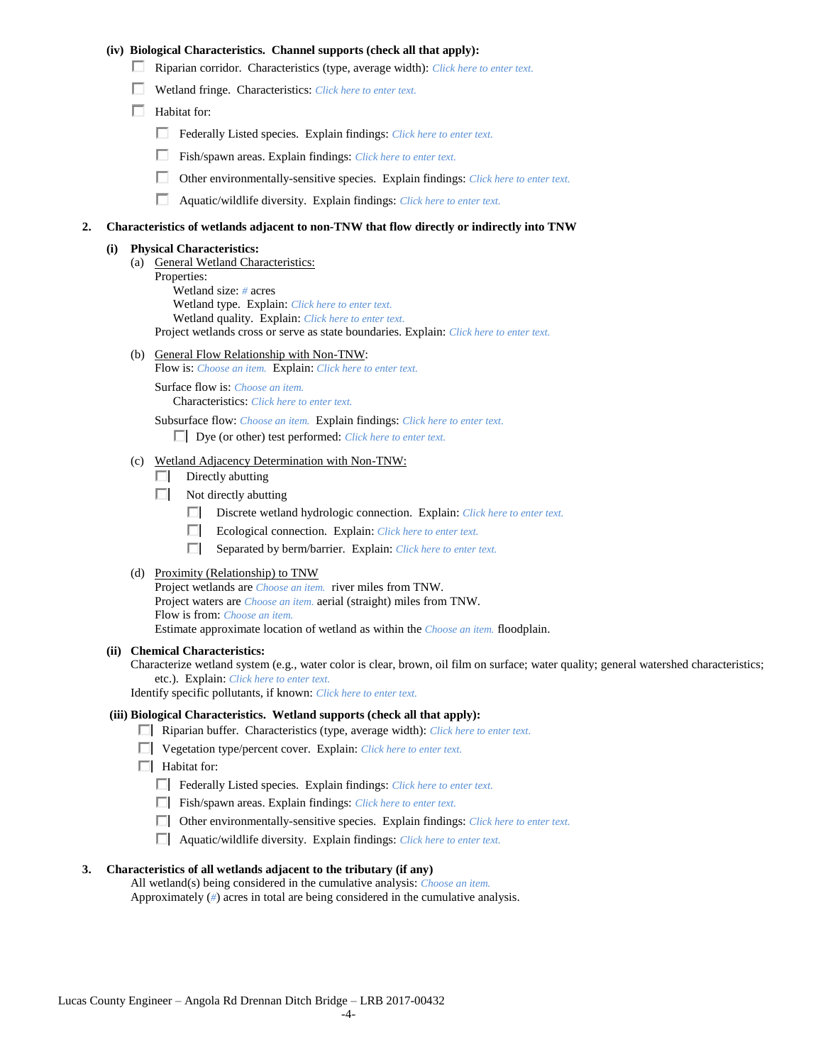### **(iv) Biological Characteristics. Channel supports (check all that apply):**

- Riparian corridor. Characteristics (type, average width): *Click here to enter text.*
- Wetland fringe. Characteristics: *Click here to enter text.*
- $\Box$  Habitat for:
	- Federally Listed species. Explain findings: *Click here to enter text.*
	- Fish/spawn areas. Explain findings: *Click here to enter text.*
	- П. Other environmentally-sensitive species. Explain findings: *Click here to enter text.*
	- П. Aquatic/wildlife diversity. Explain findings: *Click here to enter text.*

#### **2. Characteristics of wetlands adjacent to non-TNW that flow directly or indirectly into TNW**

#### **(i) Physical Characteristics:**

- (a) General Wetland Characteristics:
	- Properties:

Wetland size: *#* acres Wetland type. Explain: *Click here to enter text.*

Wetland quality. Explain: *Click here to enter text.*

Project wetlands cross or serve as state boundaries. Explain: *Click here to enter text.*

(b) General Flow Relationship with Non-TNW: Flow is: *Choose an item.* Explain: *Click here to enter text.*

Surface flow is: *Choose an item.* Characteristics: *Click here to enter text.*

Subsurface flow: *Choose an item.* Explain findings: *Click here to enter text.*

Dye (or other) test performed: *Click here to enter text.*

#### (c) Wetland Adjacency Determination with Non-TNW:

- $\Box$  Directly abutting
- Not directly abutting
	- Discrete wetland hydrologic connection. Explain: *Click here to enter text.*
	- $\Box$ Ecological connection. Explain: *Click here to enter text.*
	- $\Box$ Separated by berm/barrier. Explain: *Click here to enter text.*
- (d) Proximity (Relationship) to TNW

Project wetlands are *Choose an item.* river miles from TNW. Project waters are *Choose an item.* aerial (straight) miles from TNW. Flow is from: *Choose an item.* Estimate approximate location of wetland as within the *Choose an item.* floodplain.

#### **(ii) Chemical Characteristics:**

Characterize wetland system (e.g., water color is clear, brown, oil film on surface; water quality; general watershed characteristics; etc.). Explain: *Click here to enter text.*

Identify specific pollutants, if known: *Click here to enter text.*

#### **(iii) Biological Characteristics. Wetland supports (check all that apply):**

- Riparian buffer. Characteristics (type, average width): *Click here to enter text.*
- Vegetation type/percent cover. Explain: *Click here to enter text.*
- $\Box$  Habitat for:
	- Federally Listed species. Explain findings: *Click here to enter text*.
	- Fish/spawn areas. Explain findings: *Click here to enter text*.
	- Other environmentally-sensitive species. Explain findings: *Click here to enter text.*
	- Aquatic/wildlife diversity. Explain findings: *Click here to enter text.*

#### **3. Characteristics of all wetlands adjacent to the tributary (if any)**

All wetland(s) being considered in the cumulative analysis: *Choose an item.* Approximately (*#*) acres in total are being considered in the cumulative analysis.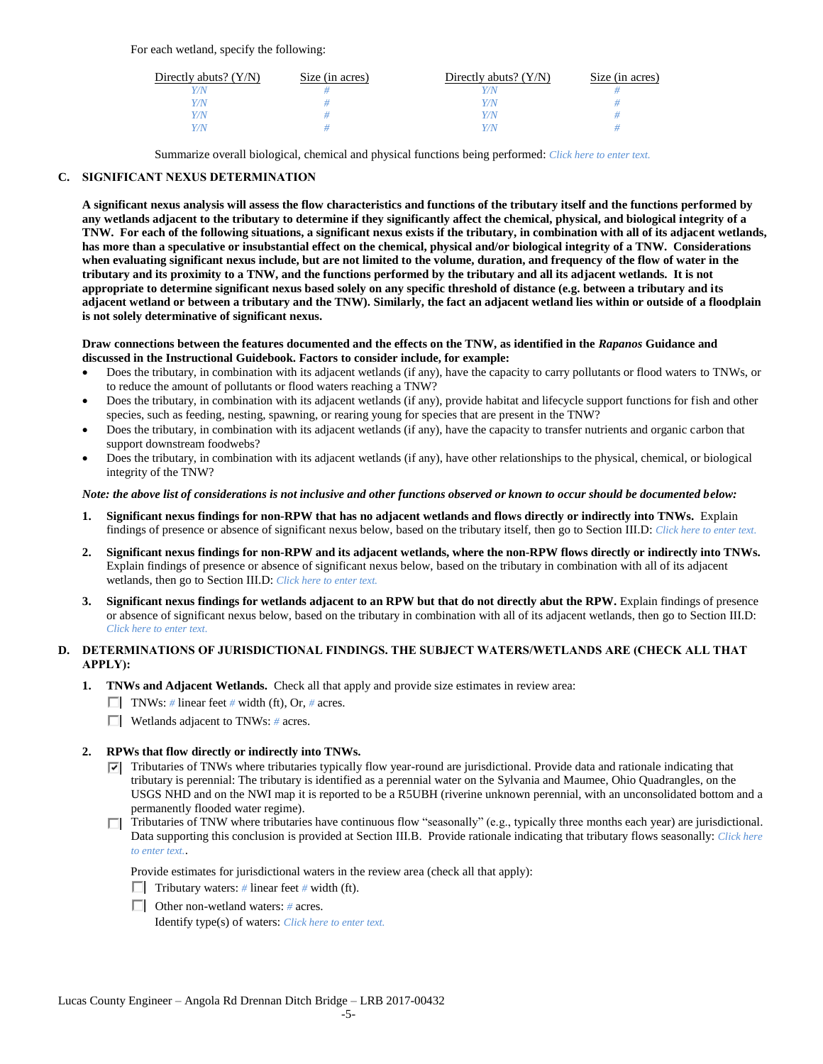For each wetland, specify the following:

| Directly abuts? $(Y/N)$ | Size (in acres) | Directly abuts? $(Y/N)$ | Size (in acres) |
|-------------------------|-----------------|-------------------------|-----------------|
|                         |                 |                         |                 |
| Y/N                     |                 | Y/N                     |                 |
| Y/N                     |                 | $\sqrt{N}$              |                 |
|                         |                 | $\alpha$                |                 |

Summarize overall biological, chemical and physical functions being performed: *Click here to enter text.*

## **C. SIGNIFICANT NEXUS DETERMINATION**

**A significant nexus analysis will assess the flow characteristics and functions of the tributary itself and the functions performed by any wetlands adjacent to the tributary to determine if they significantly affect the chemical, physical, and biological integrity of a TNW. For each of the following situations, a significant nexus exists if the tributary, in combination with all of its adjacent wetlands, has more than a speculative or insubstantial effect on the chemical, physical and/or biological integrity of a TNW. Considerations when evaluating significant nexus include, but are not limited to the volume, duration, and frequency of the flow of water in the tributary and its proximity to a TNW, and the functions performed by the tributary and all its adjacent wetlands. It is not appropriate to determine significant nexus based solely on any specific threshold of distance (e.g. between a tributary and its adjacent wetland or between a tributary and the TNW). Similarly, the fact an adjacent wetland lies within or outside of a floodplain is not solely determinative of significant nexus.** 

#### **Draw connections between the features documented and the effects on the TNW, as identified in the** *Rapanos* **Guidance and discussed in the Instructional Guidebook. Factors to consider include, for example:**

- Does the tributary, in combination with its adjacent wetlands (if any), have the capacity to carry pollutants or flood waters to TNWs, or to reduce the amount of pollutants or flood waters reaching a TNW?
- Does the tributary, in combination with its adjacent wetlands (if any), provide habitat and lifecycle support functions for fish and other species, such as feeding, nesting, spawning, or rearing young for species that are present in the TNW?
- Does the tributary, in combination with its adjacent wetlands (if any), have the capacity to transfer nutrients and organic carbon that support downstream foodwebs?
- Does the tributary, in combination with its adjacent wetlands (if any), have other relationships to the physical, chemical, or biological integrity of the TNW?

### *Note: the above list of considerations is not inclusive and other functions observed or known to occur should be documented below:*

- **1. Significant nexus findings for non-RPW that has no adjacent wetlands and flows directly or indirectly into TNWs.** Explain findings of presence or absence of significant nexus below, based on the tributary itself, then go to Section III.D: *Click here to enter text.*
- **2. Significant nexus findings for non-RPW and its adjacent wetlands, where the non-RPW flows directly or indirectly into TNWs.**  Explain findings of presence or absence of significant nexus below, based on the tributary in combination with all of its adjacent wetlands, then go to Section III.D: *Click here to enter text.*
- **3. Significant nexus findings for wetlands adjacent to an RPW but that do not directly abut the RPW.** Explain findings of presence or absence of significant nexus below, based on the tributary in combination with all of its adjacent wetlands, then go to Section III.D: *Click here to enter text.*

## **D. DETERMINATIONS OF JURISDICTIONAL FINDINGS. THE SUBJECT WATERS/WETLANDS ARE (CHECK ALL THAT APPLY):**

- **1. TNWs and Adjacent Wetlands.** Check all that apply and provide size estimates in review area:
	- TNWs: *#* linear feet *#* width (ft), Or, *#* acres.
	- Wetlands adjacent to TNWs: *#* acres.

## **2. RPWs that flow directly or indirectly into TNWs.**

- $\nabla$  Tributaries of TNWs where tributaries typically flow year-round are jurisdictional. Provide data and rationale indicating that tributary is perennial: The tributary is identified as a perennial water on the Sylvania and Maumee, Ohio Quadrangles, on the USGS NHD and on the NWI map it is reported to be a R5UBH (riverine unknown perennial, with an unconsolidated bottom and a permanently flooded water regime).
- Tributaries of TNW where tributaries have continuous flow "seasonally" (e.g., typically three months each year) are jurisdictional. Data supporting this conclusion is provided at Section III.B. Provide rationale indicating that tributary flows seasonally: *Click here to enter text.*.

Provide estimates for jurisdictional waters in the review area (check all that apply):

- Tributary waters:  $\#$  linear feet  $\#$  width (ft).
- Other non-wetland waters: *#* acres.

Identify type(s) of waters: *Click here to enter text.*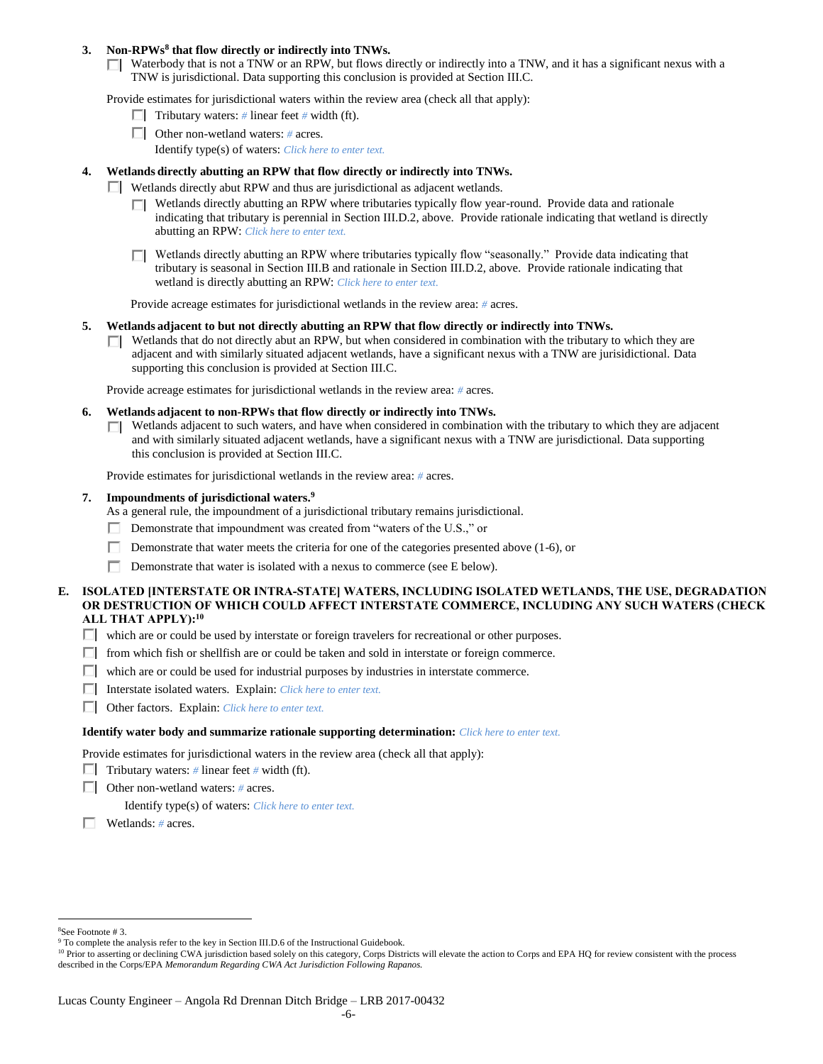#### **3. Non-RPWs<sup>8</sup> that flow directly or indirectly into TNWs.**

 $\Box$  Waterbody that is not a TNW or an RPW, but flows directly or indirectly into a TNW, and it has a significant nexus with a TNW is jurisdictional. Data supporting this conclusion is provided at Section III.C.

Provide estimates for jurisdictional waters within the review area (check all that apply):

- **Tributary waters:** # linear feet # width (ft).
- Other non-wetland waters: *#* acres.
	- Identify type(s) of waters: *Click here to enter text.*

#### **4. Wetlands directly abutting an RPW that flow directly or indirectly into TNWs.**

- Wetlands directly abut RPW and thus are jurisdictional as adjacent wetlands.
	- $\Box$  Wetlands directly abutting an RPW where tributaries typically flow year-round. Provide data and rationale indicating that tributary is perennial in Section III.D.2, above. Provide rationale indicating that wetland is directly abutting an RPW: *Click here to enter text.*
	- $\Box$  Wetlands directly abutting an RPW where tributaries typically flow "seasonally." Provide data indicating that tributary is seasonal in Section III.B and rationale in Section III.D.2, above. Provide rationale indicating that wetland is directly abutting an RPW: *Click here to enter text.*

Provide acreage estimates for jurisdictional wetlands in the review area: *#* acres.

- **5. Wetlands adjacent to but not directly abutting an RPW that flow directly or indirectly into TNWs.**
	- $\Box$  Wetlands that do not directly abut an RPW, but when considered in combination with the tributary to which they are adjacent and with similarly situated adjacent wetlands, have a significant nexus with a TNW are jurisidictional. Data supporting this conclusion is provided at Section III.C.

Provide acreage estimates for jurisdictional wetlands in the review area: *#* acres.

- **6. Wetlands adjacent to non-RPWs that flow directly or indirectly into TNWs.** 
	- $\Box$  Wetlands adjacent to such waters, and have when considered in combination with the tributary to which they are adjacent and with similarly situated adjacent wetlands, have a significant nexus with a TNW are jurisdictional. Data supporting this conclusion is provided at Section III.C.

Provide estimates for jurisdictional wetlands in the review area: *#* acres.

#### **7. Impoundments of jurisdictional waters. 9**

As a general rule, the impoundment of a jurisdictional tributary remains jurisdictional.

- Demonstrate that impoundment was created from "waters of the U.S.," or
- Demonstrate that water meets the criteria for one of the categories presented above (1-6), or
- П. Demonstrate that water is isolated with a nexus to commerce (see E below).
- **E. ISOLATED [INTERSTATE OR INTRA-STATE] WATERS, INCLUDING ISOLATED WETLANDS, THE USE, DEGRADATION OR DESTRUCTION OF WHICH COULD AFFECT INTERSTATE COMMERCE, INCLUDING ANY SUCH WATERS (CHECK ALL THAT APPLY):<sup>10</sup>**
	- which are or could be used by interstate or foreign travelers for recreational or other purposes.
	- $\Box$  from which fish or shellfish are or could be taken and sold in interstate or foreign commerce.
	- $\Box$  which are or could be used for industrial purposes by industries in interstate commerce.
	- Interstate isolated waters.Explain: *Click here to enter text.*
	- Other factors.Explain: *Click here to enter text.*

#### **Identify water body and summarize rationale supporting determination:** *Click here to enter text.*

Provide estimates for jurisdictional waters in the review area (check all that apply):

- **Tributary waters:** # linear feet # width (ft).
- Other non-wetland waters: *#* acres.

Identify type(s) of waters: *Click here to enter text.*

Wetlands: *#* acres.

 $\overline{a}$ <sup>8</sup>See Footnote # 3.

<sup>&</sup>lt;sup>9</sup> To complete the analysis refer to the key in Section III.D.6 of the Instructional Guidebook.

<sup>&</sup>lt;sup>10</sup> Prior to asserting or declining CWA jurisdiction based solely on this category, Corps Districts will elevate the action to Corps and EPA HQ for review consistent with the process described in the Corps/EPA *Memorandum Regarding CWA Act Jurisdiction Following Rapanos.*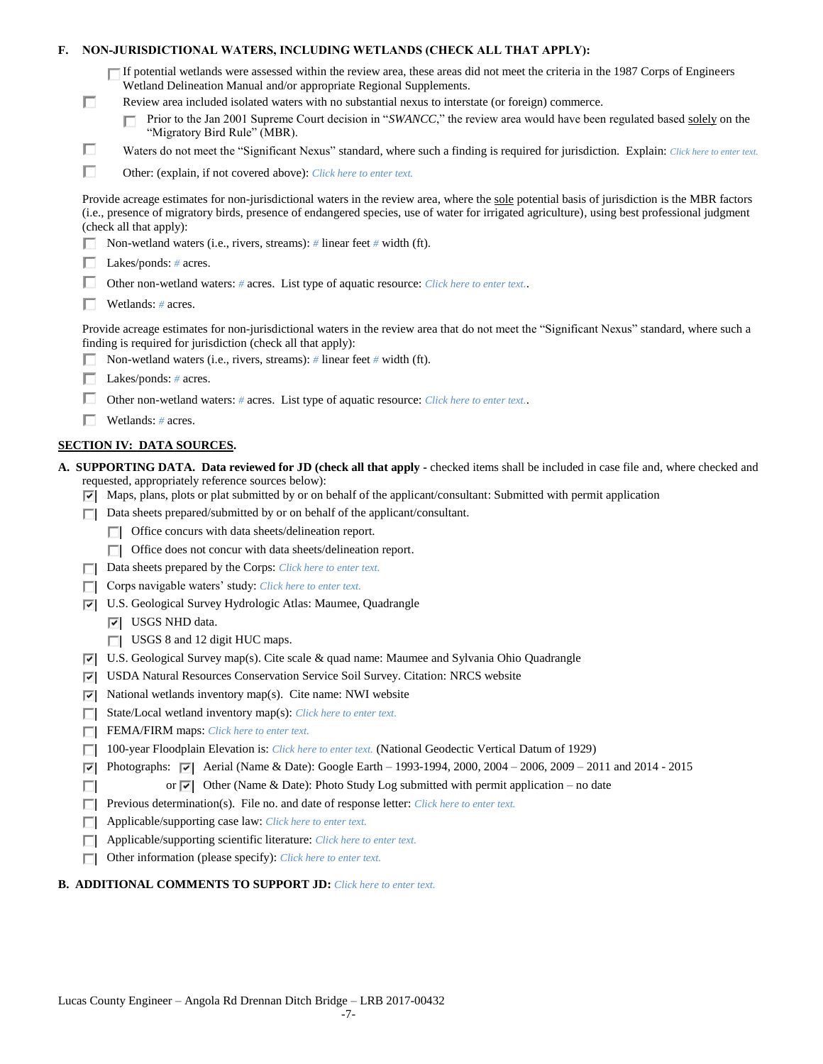| F. |   | NON-JURISDICTIONAL WATERS, INCLUDING WETLANDS (CHECK ALL THAT APPLY):                                                                                                                                                                                                                                                             |
|----|---|-----------------------------------------------------------------------------------------------------------------------------------------------------------------------------------------------------------------------------------------------------------------------------------------------------------------------------------|
|    |   | $\Box$ If potential wetlands were assessed within the review area, these areas did not meet the criteria in the 1987 Corps of Engineers<br>Wetland Delineation Manual and/or appropriate Regional Supplements.                                                                                                                    |
|    | □ | Review area included isolated waters with no substantial nexus to interstate (or foreign) commerce.                                                                                                                                                                                                                               |
|    |   | Prior to the Jan 2001 Supreme Court decision in "SWANCC," the review area would have been regulated based solely on the<br>"Migratory Bird Rule" (MBR).                                                                                                                                                                           |
|    | □ | Waters do not meet the "Significant Nexus" standard, where such a finding is required for jurisdiction. Explain: Click here to enter text.                                                                                                                                                                                        |
|    | п | Other: (explain, if not covered above): Click here to enter text.                                                                                                                                                                                                                                                                 |
|    |   | Provide acreage estimates for non-jurisdictional waters in the review area, where the sole potential basis of jurisdiction is the MBR factors<br>(i.e., presence of migratory birds, presence of endangered species, use of water for irrigated agriculture), using best professional judgment<br>(check all that apply):         |
|    |   | Non-wetland waters (i.e., rivers, streams): # linear feet # width (ft).                                                                                                                                                                                                                                                           |
|    |   | Lakes/ponds: $# \, \text{acres.}$                                                                                                                                                                                                                                                                                                 |
|    |   | Other non-wetland waters: # acres. List type of aquatic resource: Click here to enter text                                                                                                                                                                                                                                        |
|    |   | Wetlands: $#$ acres.                                                                                                                                                                                                                                                                                                              |
|    |   | Provide acreage estimates for non-jurisdictional waters in the review area that do not meet the "Significant Nexus" standard, where such a<br>finding is required for jurisdiction (check all that apply):<br>Non-wetland waters (i.e., rivers, streams): $#$ linear feet $#$ width (ft).                                         |
|    |   | Lakes/ponds: $# \, \text{acres.}$                                                                                                                                                                                                                                                                                                 |
|    |   | Other non-wetland waters: # acres. List type of aquatic resource: Click here to enter text                                                                                                                                                                                                                                        |
|    |   | Wetlands: $#$ acres.                                                                                                                                                                                                                                                                                                              |
|    |   |                                                                                                                                                                                                                                                                                                                                   |
|    |   | <b>SECTION IV: DATA SOURCES.</b>                                                                                                                                                                                                                                                                                                  |
|    |   | A. SUPPORTING DATA. Data reviewed for JD (check all that apply - checked items shall be included in case file and, where checked and<br>requested, appropriately reference sources below):<br>$\triangledown$ Maps, plans, plots or plat submitted by or on behalf of the applicant/consultant: Submitted with permit application |
|    | ш | Data sheets prepared/submitted by or on behalf of the applicant/consultant.                                                                                                                                                                                                                                                       |
|    |   | Office concurs with data sheets/delineation report.                                                                                                                                                                                                                                                                               |
|    |   | Office does not concur with data sheets/delineation report.                                                                                                                                                                                                                                                                       |
|    | П | Data sheets prepared by the Corps: Click here to enter text.                                                                                                                                                                                                                                                                      |
|    |   | Corps navigable waters' study: Click here to enter text.                                                                                                                                                                                                                                                                          |
|    | 罓 | U.S. Geological Survey Hydrologic Atlas: Maumee, Quadrangle                                                                                                                                                                                                                                                                       |
|    |   | $ \overline{v} $ USGS NHD data.                                                                                                                                                                                                                                                                                                   |
|    |   | $\Box$ USGS 8 and 12 digit HUC maps.                                                                                                                                                                                                                                                                                              |
|    | 罓 | U.S. Geological Survey map(s). Cite scale & quad name: Maumee and Sylvania Ohio Quadrangle                                                                                                                                                                                                                                        |
|    | 罓 | USDA Natural Resources Conservation Service Soil Survey. Citation: NRCS website                                                                                                                                                                                                                                                   |
|    | ⊽ | National wetlands inventory map(s). Cite name: NWI website                                                                                                                                                                                                                                                                        |
|    | п | State/Local wetland inventory map(s): Click here to enter text.                                                                                                                                                                                                                                                                   |
|    | п | FEMA/FIRM maps: Click here to enter text.                                                                                                                                                                                                                                                                                         |
|    |   | 100-year Floodplain Elevation is: Click here to enter text. (National Geodectic Vertical Datum of 1929)                                                                                                                                                                                                                           |
|    | ⊽ | Photographs: $\sqrt{ }$ Aerial (Name & Date): Google Earth – 1993-1994, 2000, 2004 – 2006, 2009 – 2011 and 2014 - 2015                                                                                                                                                                                                            |
|    | ш | or $\overline{\triangledown}$ Other (Name & Date): Photo Study Log submitted with permit application – no date                                                                                                                                                                                                                    |
|    | п | Previous determination(s). File no. and date of response letter: Click here to enter text.                                                                                                                                                                                                                                        |
|    | П | Applicable/supporting case law: Click here to enter text.                                                                                                                                                                                                                                                                         |
|    | Е | Applicable/supporting scientific literature: Click here to enter text.                                                                                                                                                                                                                                                            |
|    |   | Other information (please specify): Click here to enter text.                                                                                                                                                                                                                                                                     |

## **B. ADDITIONAL COMMENTS TO SUPPORT JD:** *Click here to enter text.*